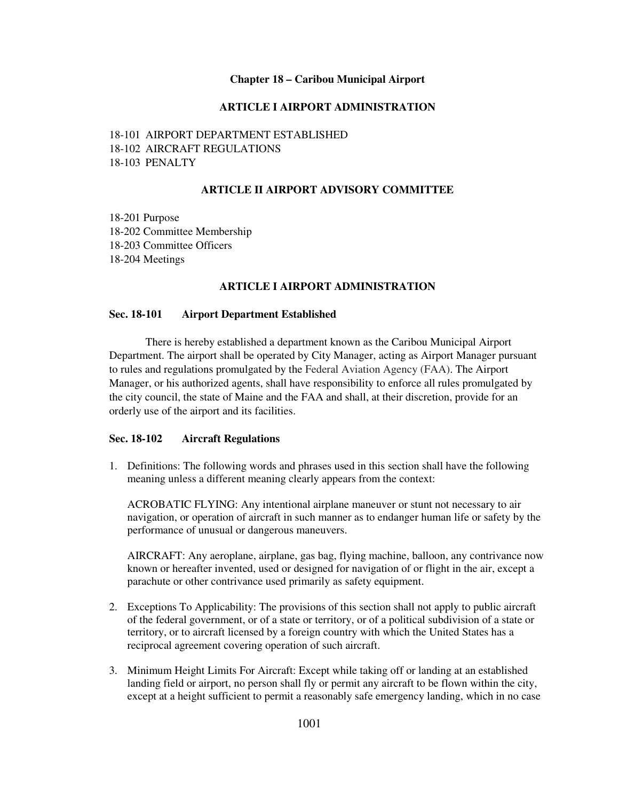### **Chapter 18 – Caribou Municipal Airport**

# **ARTICLE I AIRPORT ADMINISTRATION**

18-101 AIRPORT DEPARTMENT ESTABLISHED 18-102 AIRCRAFT REGULATIONS 18-103 PENALTY

## **ARTICLE II AIRPORT ADVISORY COMMITTEE**

18-201 Purpose 18-202 Committee Membership 18-203 Committee Officers 18-204 Meetings

### **ARTICLE I AIRPORT ADMINISTRATION**

### **Sec. 18-101 Airport Department Established**

There is hereby established a department known as the Caribou Municipal Airport Department. The airport shall be operated by City Manager, acting as Airport Manager pursuant to rules and regulations promulgated by the Federal Aviation Agency (FAA). The Airport Manager, or his authorized agents, shall have responsibility to enforce all rules promulgated by the city council, the state of Maine and the FAA and shall, at their discretion, provide for an orderly use of the airport and its facilities.

#### **Sec. 18-102 Aircraft Regulations**

1. Definitions: The following words and phrases used in this section shall have the following meaning unless a different meaning clearly appears from the context:

ACROBATIC FLYING: Any intentional airplane maneuver or stunt not necessary to air navigation, or operation of aircraft in such manner as to endanger human life or safety by the performance of unusual or dangerous maneuvers.

AIRCRAFT: Any aeroplane, airplane, gas bag, flying machine, balloon, any contrivance now known or hereafter invented, used or designed for navigation of or flight in the air, except a parachute or other contrivance used primarily as safety equipment.

- 2. Exceptions To Applicability: The provisions of this section shall not apply to public aircraft of the federal government, or of a state or territory, or of a political subdivision of a state or territory, or to aircraft licensed by a foreign country with which the United States has a reciprocal agreement covering operation of such aircraft.
- 3. Minimum Height Limits For Aircraft: Except while taking off or landing at an established landing field or airport, no person shall fly or permit any aircraft to be flown within the city, except at a height sufficient to permit a reasonably safe emergency landing, which in no case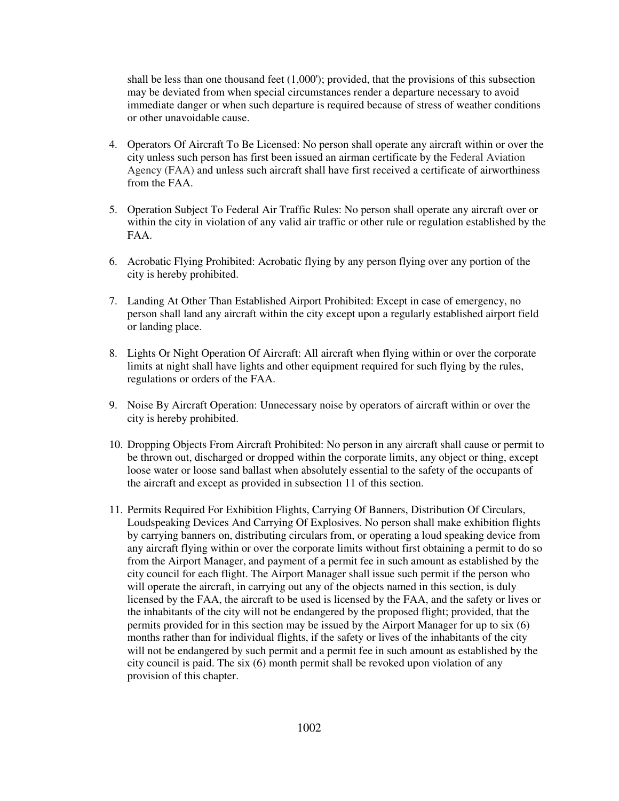shall be less than one thousand feet (1,000'); provided, that the provisions of this subsection may be deviated from when special circumstances render a departure necessary to avoid immediate danger or when such departure is required because of stress of weather conditions or other unavoidable cause.

- 4. Operators Of Aircraft To Be Licensed: No person shall operate any aircraft within or over the city unless such person has first been issued an airman certificate by the Federal Aviation Agency (FAA) and unless such aircraft shall have first received a certificate of airworthiness from the FAA.
- 5. Operation Subject To Federal Air Traffic Rules: No person shall operate any aircraft over or within the city in violation of any valid air traffic or other rule or regulation established by the FAA.
- 6. Acrobatic Flying Prohibited: Acrobatic flying by any person flying over any portion of the city is hereby prohibited.
- 7. Landing At Other Than Established Airport Prohibited: Except in case of emergency, no person shall land any aircraft within the city except upon a regularly established airport field or landing place.
- 8. Lights Or Night Operation Of Aircraft: All aircraft when flying within or over the corporate limits at night shall have lights and other equipment required for such flying by the rules, regulations or orders of the FAA.
- 9. Noise By Aircraft Operation: Unnecessary noise by operators of aircraft within or over the city is hereby prohibited.
- 10. Dropping Objects From Aircraft Prohibited: No person in any aircraft shall cause or permit to be thrown out, discharged or dropped within the corporate limits, any object or thing, except loose water or loose sand ballast when absolutely essential to the safety of the occupants of the aircraft and except as provided in subsection 11 of this section.
- 11. Permits Required For Exhibition Flights, Carrying Of Banners, Distribution Of Circulars, Loudspeaking Devices And Carrying Of Explosives. No person shall make exhibition flights by carrying banners on, distributing circulars from, or operating a loud speaking device from any aircraft flying within or over the corporate limits without first obtaining a permit to do so from the Airport Manager, and payment of a permit fee in such amount as established by the city council for each flight. The Airport Manager shall issue such permit if the person who will operate the aircraft, in carrying out any of the objects named in this section, is duly licensed by the FAA, the aircraft to be used is licensed by the FAA, and the safety or lives or the inhabitants of the city will not be endangered by the proposed flight; provided, that the permits provided for in this section may be issued by the Airport Manager for up to six (6) months rather than for individual flights, if the safety or lives of the inhabitants of the city will not be endangered by such permit and a permit fee in such amount as established by the city council is paid. The six (6) month permit shall be revoked upon violation of any provision of this chapter.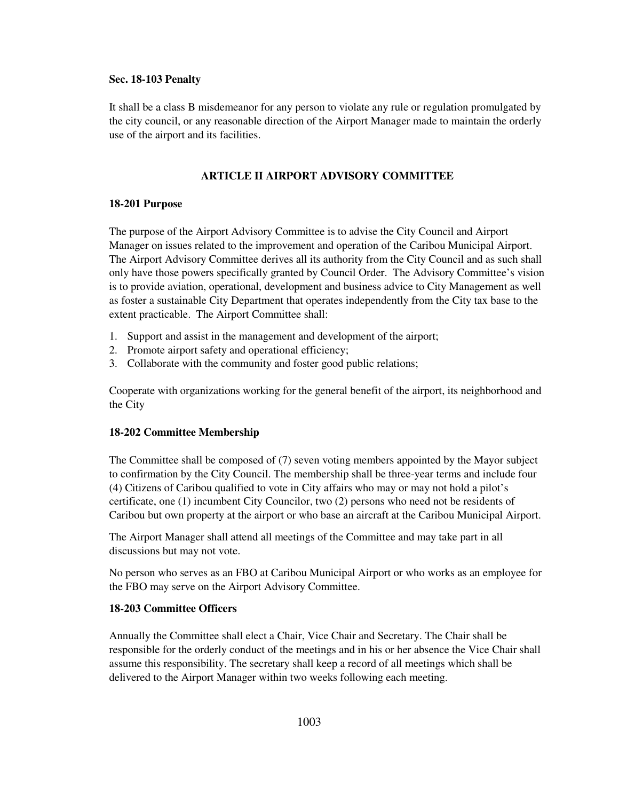#### **Sec. 18-103 Penalty**

It shall be a class B misdemeanor for any person to violate any rule or regulation promulgated by the city council, or any reasonable direction of the Airport Manager made to maintain the orderly use of the airport and its facilities.

# **ARTICLE II AIRPORT ADVISORY COMMITTEE**

# **18-201 Purpose**

The purpose of the Airport Advisory Committee is to advise the City Council and Airport Manager on issues related to the improvement and operation of the Caribou Municipal Airport. The Airport Advisory Committee derives all its authority from the City Council and as such shall only have those powers specifically granted by Council Order. The Advisory Committee's vision is to provide aviation, operational, development and business advice to City Management as well as foster a sustainable City Department that operates independently from the City tax base to the extent practicable. The Airport Committee shall:

- 1. Support and assist in the management and development of the airport;
- 2. Promote airport safety and operational efficiency;
- 3. Collaborate with the community and foster good public relations;

Cooperate with organizations working for the general benefit of the airport, its neighborhood and the City

# **18-202 Committee Membership**

The Committee shall be composed of (7) seven voting members appointed by the Mayor subject to confirmation by the City Council. The membership shall be three-year terms and include four (4) Citizens of Caribou qualified to vote in City affairs who may or may not hold a pilot's certificate, one (1) incumbent City Councilor, two (2) persons who need not be residents of Caribou but own property at the airport or who base an aircraft at the Caribou Municipal Airport.

The Airport Manager shall attend all meetings of the Committee and may take part in all discussions but may not vote.

No person who serves as an FBO at Caribou Municipal Airport or who works as an employee for the FBO may serve on the Airport Advisory Committee.

# **18-203 Committee Officers**

Annually the Committee shall elect a Chair, Vice Chair and Secretary. The Chair shall be responsible for the orderly conduct of the meetings and in his or her absence the Vice Chair shall assume this responsibility. The secretary shall keep a record of all meetings which shall be delivered to the Airport Manager within two weeks following each meeting.